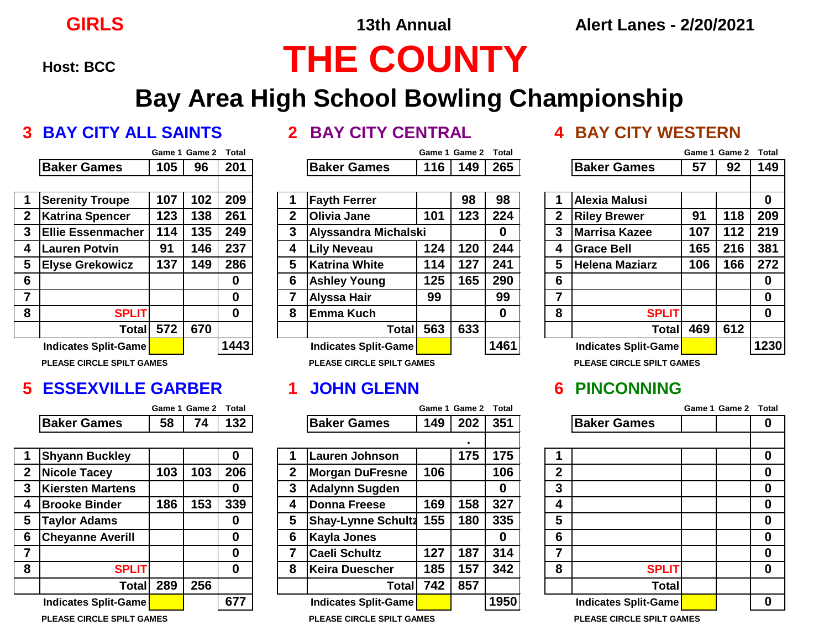# **Host: BCC THE COUNTY**

## **Bay Area High School Bowling Championship**

### **3 BAY CITY ALL SAINTS 2 BAY CITY CENTRAL 4 BAY CITY WESTERN**

|                |                          | Game 1 | Game 2 | Total |
|----------------|--------------------------|--------|--------|-------|
|                | <b>Baker Games</b>       | 105    | 96     | 201   |
|                |                          |        |        |       |
| 1              | <b>Serenity Troupe</b>   | 107    | 102    | 209   |
| $\overline{2}$ | <b>Katrina Spencer</b>   | 123    | 138    | 261   |
| 3              | <b>Ellie Essenmacher</b> | 114    | 135    | 249   |
| 4              | <b>Lauren Potvin</b>     | 91     | 146    | 237   |
| 5              | <b>Elyse Grekowicz</b>   | 137    | 149    | 286   |
| 6              |                          |        |        | 0     |
| $\overline{7}$ |                          |        |        | 0     |
| 8              | <b>SPLIT</b>             |        |        | 0     |
|                | <b>Total</b>             | 572    | 670    |       |
|                | Indicates Split-Game     |        |        | 1443  |

**PLEASE CIRCLE SPILT GAMES PLEASE CIRCLE SPILT GAMES PLEASE CIRCLE SPILT GAMES**

### **5 ESSEXVILLE GARBER 1 JOHN GLENN 6 PINCONNING**

|             | Game 1 Game 2 Total |                                                                                      |
|-------------|---------------------|--------------------------------------------------------------------------------------|
| Baker Games |                     | $\begin{array}{ c c c c c c } \hline \text{58} & \text{74} & \text{132} \end{array}$ |

| 1            | <b>Shyann Buckley</b>       |     |     |     |
|--------------|-----------------------------|-----|-----|-----|
| $\mathbf{2}$ | <b>Nicole Tacey</b>         | 103 | 103 | 206 |
| 3            | <b>Kiersten Martens</b>     |     |     |     |
| 4            | <b>Brooke Binder</b>        | 186 | 153 | 339 |
| 5            | <b>Taylor Adams</b>         |     |     |     |
| 6            | <b>Cheyanne Averill</b>     |     |     |     |
| 7            |                             |     |     |     |
| 8            | <b>SPLIT</b>                |     |     |     |
|              | Total                       | 289 | 256 |     |
|              | <b>Indicates Split-Game</b> |     |     | 67  |

|   |                              |     | Game 1 Game 2 | <b>Total</b> |   |                              |     | Game 1 Game 2 | <b>Total</b> |   |                              |     | Game 1 Game 2 | <b>Total</b> |
|---|------------------------------|-----|---------------|--------------|---|------------------------------|-----|---------------|--------------|---|------------------------------|-----|---------------|--------------|
|   | <b>Baker Games</b>           | 105 | 96            | 201          |   | <b>Baker Games</b>           | 116 | 149           | 265          |   | <b>Baker Games</b>           | 57  | 92            | 149          |
|   |                              |     |               |              |   |                              |     |               |              |   |                              |     |               |              |
|   | <b>Serenity Troupe</b>       | 107 | 102           | 209          |   | <b>Fayth Ferrer</b>          |     | 98            | 98           |   | <b>Alexia Malusi</b>         |     |               | 0            |
| 2 | Katrina Spencer              | 123 | 138           | 261          | 2 | <b>Olivia Jane</b>           | 101 | 123           | 224          | 2 | <b>Riley Brewer</b>          | 91  | 118           | 209          |
|   | <b>IEllie Essenmacher</b>    | 114 | 135           | 249          | 3 | Alyssandra Michalski         |     |               | 0            | 3 | <b>Marrisa Kazee</b>         | 107 | 112           | 219          |
| 4 | <b>Lauren Potvin</b>         | 91  | 146           | 237          | 4 | <b>Lily Neveau</b>           | 124 | 120           | 244          | 4 | <b>Grace Bell</b>            | 165 | 216           | 381          |
| 5 | <b>Elyse Grekowicz</b>       | 137 | 149           | 286          | 5 | Katrina White                | 114 | 127           | 241          | 5 | <b>Helena Maziarz</b>        | 106 | 166           | 272          |
| 6 |                              |     |               | $\bf{0}$     | 6 | <b>Ashley Young</b>          | 125 | 165           | 290          | 6 |                              |     |               | 0            |
|   |                              |     |               | $\bf{0}$     |   | Alyssa Hair                  | 99  |               | 99           |   |                              |     |               | 0            |
| 8 | <b>SPLIT</b>                 |     |               | $\bf{0}$     | 8 | lEmma Kuch                   |     |               | 0            | 8 | <b>SPLIT</b>                 |     |               | $\bf{0}$     |
|   | Total                        | 572 | 670           |              |   | Total                        | 563 | 633           |              |   | <b>Total</b>                 | 469 | 612           |              |
|   | Indicates Split-Game         |     |               | 1443         |   | Indicates Split-Game         |     |               | 1461         |   | Indicates Split-Game         |     |               | 1230         |
|   | DI FACE CIDOI E COILT CANIFC |     |               |              |   | DI FACE CIDOI E COILT CANIFC |     |               |              |   | DI FACE CIDOI E COILT CANIFO |     |               |              |

|                |                              |     | Game 1 Game 2 | Total |             |                              |     | Game 1 Game 2 | Total |              |                              | Game 1 Game 2 | Total       |
|----------------|------------------------------|-----|---------------|-------|-------------|------------------------------|-----|---------------|-------|--------------|------------------------------|---------------|-------------|
|                | <b>Baker Games</b>           | 58  | 74            | 132   |             | <b>Baker Games</b>           | 149 | 202           | 351   |              | <b>Baker Games</b>           |               | $\bf{0}$    |
|                |                              |     |               |       |             |                              |     |               |       |              |                              |               |             |
|                | <b>Shyann Buckley</b>        |     |               | 0     |             | Lauren Johnson               |     | 175           | 175   |              |                              |               | $\mathbf 0$ |
| $\overline{2}$ | Nicole Tacey                 | 103 | 103           | 206   | $\mathbf 2$ | <b>Morgan DuFresne</b>       | 106 |               | 106   | $\mathbf{2}$ |                              |               | $\bf{0}$    |
| 3              | Kiersten Martens             |     |               | 0     | 3           | <b>Adalynn Sugden</b>        |     |               | 0     | 3            |                              |               | $\mathbf 0$ |
| 4              | <b>Brooke Binder</b>         | 186 | 153           | 339   | 4           | <b>Donna Freese</b>          | 169 | 158           | 327   | 4            |                              |               | $\bf{0}$    |
| 5              | <b>Taylor Adams</b>          |     |               | 0     | 5           | <b>Shay-Lynne Schultz</b>    | 155 | 180           | 335   | 5            |                              |               | $\mathbf 0$ |
| 6              | <b>Cheyanne Averill</b>      |     |               | 0     | 6           | Kayla Jones                  |     |               | 0     | 6            |                              |               | $\bf{0}$    |
|                |                              |     |               | 0     |             | <b>Caeli Schultz</b>         | 127 | 187           | 314   | 7            |                              |               | $\bf{0}$    |
| 8              | <b>SPLIT</b>                 |     |               | 0     | 8           | <b>Keira Duescher</b>        | 185 | 157           | 342   | 8            | <b>SPLIT</b>                 |               | $\mathbf 0$ |
|                | Total                        | 289 | 256           |       |             | Totall                       | 742 | 857           |       |              | <b>Total</b>                 |               |             |
|                | <b>Indicates Split-Game</b>  |     |               | 677   |             | Indicates Split-Game         |     |               | 1950  |              | <b>Indicates Split-Game</b>  |               | $\bf{0}$    |
|                | DI EACE CIDCI E CDII T CAMEC |     |               |       |             | DI EACE CIDCI E CDII T CAMEC |     |               |       |              | DI EACE CIDCI E CDII T CAMEC |               |             |

|                |                                  |     | Game 1 Game 2 | <b>Total</b> |
|----------------|----------------------------------|-----|---------------|--------------|
|                | <b>Baker Games</b>               | 57  | 92            | 149          |
|                |                                  |     |               |              |
| 1              | <b>Alexia Malusi</b>             |     |               | 0            |
| $\overline{2}$ | <b>Riley Brewer</b>              | 91  | 118           | 209          |
| 3              | <b>Marrisa Kazee</b>             | 107 | 112           | 219          |
| 4              | <b>Grace Bell</b>                | 165 | 216           | 381          |
| 5              | <b>Helena Maziarz</b>            | 106 | 166           | 272          |
| 6              |                                  |     |               | 0            |
| $\overline{7}$ |                                  |     |               | 0            |
| 8              | <b>SPLIT</b>                     |     |               | 0            |
|                | Total                            | 469 | 612           |              |
|                | <b>Indicates Split-Game</b>      |     |               | 1230         |
|                | <b>PLEASE CIRCLE SPILT GAMES</b> |     |               |              |

|                         |                      | Game 1 Game 2 Total |   |
|-------------------------|----------------------|---------------------|---|
|                         | <b>Baker Games</b>   |                     | 0 |
|                         |                      |                     |   |
| 1                       |                      |                     | 0 |
| $\boldsymbol{2}$        |                      |                     | 0 |
| $\overline{\mathbf{3}}$ |                      |                     | 0 |
| 4                       |                      |                     | 0 |
| 5                       |                      |                     | 0 |
| $6\phantom{1}6$         |                      |                     | 0 |
| 7                       |                      |                     | 0 |
| 8                       | <b>SPLIT</b>         |                     | 0 |
|                         | <b>Total</b>         |                     |   |
|                         | Indicates Split-Game |                     |   |
|                         |                      |                     |   |

**PLEASE CIRCLE SPILT GAMES PLEASE CIRCLE SPILT GAMES PLEASE CIRCLE SPILT GAMES**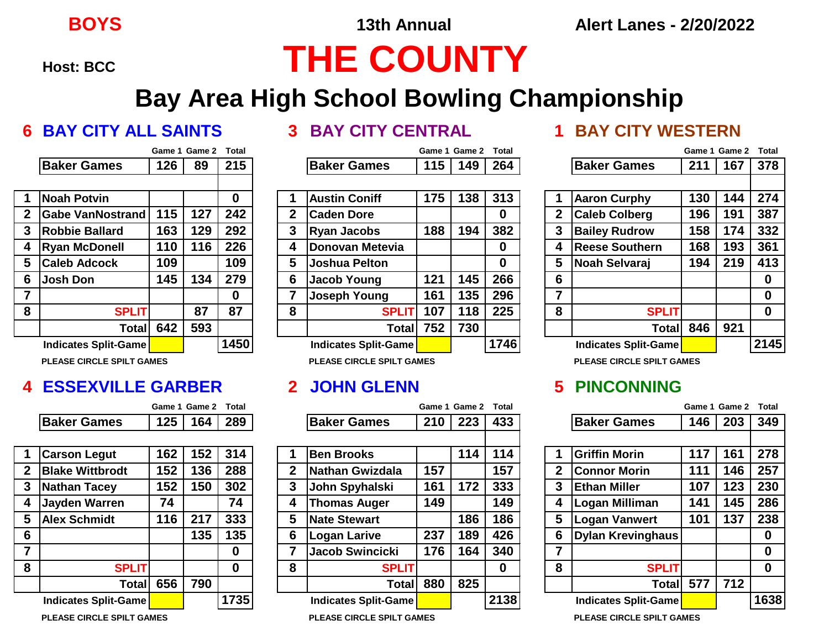# **Host: BCC THE COUNTY**

## **Bay Area High School Bowling Championship**

### **6 BAY CITY ALL SAINTS 3 BAY CITY CENTRAL 1 BAY CITY WESTERN**

|                  |                             |     | Game 1 Game 2 | Total |
|------------------|-----------------------------|-----|---------------|-------|
|                  | <b>Baker Games</b>          | 126 | 89            | 215   |
|                  |                             |     |               |       |
| 1                | <b>Noah Potvin</b>          |     |               | 0     |
| $\boldsymbol{2}$ | <b>Gabe VanNostrand</b>     | 115 | 127           | 242   |
| 3                | <b>Robbie Ballard</b>       | 163 | 129           | 292   |
| 4                | <b>Ryan McDonell</b>        | 110 | 116           | 226   |
| 5                | <b>Caleb Adcock</b>         | 109 |               | 109   |
| 6                | <b>Josh Don</b>             | 145 | 134           | 279   |
| $\overline{7}$   |                             |     |               | 0     |
| 8                | <b>SPLIT</b>                |     | 87            | 87    |
|                  | <b>Total</b>                | 642 | 593           |       |
|                  | <b>Indicates Split-Game</b> |     |               | 1450  |

**PLEASE CIRCLE SPILT GAMES PLEASE CIRCLE SPILT GAMES PLEASE CIRCLE SPILT GAMES**

### **4 ESSEXVILLE GARBER 2 JOHN GLENN 5 PINCONNING**

|                    | Game 1 Game 2 Total |  |
|--------------------|---------------------|--|
| <b>Baker Games</b> | 125   164   289     |  |

| 1                | <b>Carson Legut</b>    | 162 | 152 | 314  |
|------------------|------------------------|-----|-----|------|
| $\boldsymbol{2}$ | <b>Blake Wittbrodt</b> | 152 | 136 | 288  |
| 3                | <b>Nathan Tacey</b>    | 152 | 150 | 302  |
| 4                | <b>Jayden Warren</b>   | 74  |     | 74   |
| 5                | <b>Alex Schmidt</b>    | 116 | 217 | 333  |
| 6                |                        |     | 135 | 135  |
| $\overline{7}$   |                        |     |     | 0    |
| 8                | <b>SPLIT</b>           |     |     | 0    |
|                  | <b>Total</b>           | 656 | 790 |      |
|                  | Indicates Split-Game   |     |     | 1735 |

**PLEASE CIRCLE SPILT GAMES PLEASE CIRCLE SPILT GAMES PLEASE CIRCLE SPILT GAMES**

|   |                              |     | Game 1 Game 2 | <b>Total</b> |   |                              | Game 1 | Game 2 | <b>Total</b> |   |                              | Game 1 | Game 2 | <b>Total</b> |
|---|------------------------------|-----|---------------|--------------|---|------------------------------|--------|--------|--------------|---|------------------------------|--------|--------|--------------|
|   | <b>Baker Games</b>           | 126 | 89            | 215          |   | <b>Baker Games</b>           | 115    | 149    | 264          |   | <b>Baker Games</b>           | 211    | 167    | 378          |
|   |                              |     |               |              |   |                              |        |        |              |   |                              |        |        |              |
|   | Noah Potvin                  |     |               | 0            |   | <b>Austin Coniff</b>         | 175    | 138    | 313          |   | <b>Aaron Curphy</b>          | 130    | 144    | 274          |
| 2 | <b>Gabe VanNostrand</b>      | 115 | 127           | 242          | 2 | <b>Caden Dore</b>            |        |        | 0            |   | <b>Caleb Colberg</b>         | 196    | 191    | 387          |
| 3 | <b>Robbie Ballard</b>        | 163 | 129           | 292          | 3 | <b>Ryan Jacobs</b>           | 188    | 194    | 382          |   | <b>Bailey Rudrow</b>         | 158    | 174    | 332          |
| 4 | <b>Ryan McDonell</b>         | 110 | 116           | 226          | 4 | <b>IDonovan Metevia</b>      |        |        | 0            | 4 | <b>Reese Southern</b>        | 168    | 193    | 361          |
|   | <b>Caleb Adcock</b>          | 109 |               | 109          | 5 | <b>Joshua Pelton</b>         |        |        | 0            | 5 | Noah Selvaraj                | 194    | 219    | 413          |
| 6 | <b>Josh Don</b>              | 145 | 134           | 279          | 6 | Jacob Young                  | 121    | 145    | 266          | 6 |                              |        |        | 0            |
|   |                              |     |               | $\mathbf 0$  |   | <b>Joseph Young</b>          | 161    | 135    | 296          |   |                              |        |        | 0            |
| 8 | <b>SPLIT</b>                 |     | 87            | 87           | 8 | <b>SPLIT</b>                 | 107    | 118    | 225          | 8 | <b>SPLIT</b>                 |        |        | $\bf{0}$     |
|   | Totall                       | 642 | 593           |              |   | Total                        | 752    | 730    |              |   | Total                        | 846    | 921    |              |
|   | <b>Indicates Split-Game</b>  |     |               | 1450         |   | Indicates Split-Game         |        |        | 1746         |   | Indicates Split-Game         |        |        | 2145         |
|   | DI FACE CIDOI E COILT CANIFC |     |               |              |   | DI FACE CIDOI E COILT CANIFC |        |        |              |   | DI FACE CIDOI E COILT CANIFO |        |        |              |

|   |                        |     | Game 1 Game 2 | <b>Total</b> |             |                         | Game 1 | <b>Game 2</b> | <b>Total</b> |   |                          | Game 1 | Game 2 | <b>Total</b> |
|---|------------------------|-----|---------------|--------------|-------------|-------------------------|--------|---------------|--------------|---|--------------------------|--------|--------|--------------|
|   | <b>Baker Games</b>     | 125 | 164           | 289          |             | <b>Baker Games</b>      | 210    | 223           | 433          |   | <b>Baker Games</b>       | 146    | 203    | 349          |
|   |                        |     |               |              |             |                         |        |               |              |   |                          |        |        |              |
|   | <b>Carson Legut</b>    | 162 | 152           | 314          |             | <b>Ben Brooks</b>       |        | 114           | 114          |   | <b>Griffin Morin</b>     | 117    | 161    | 278          |
| 2 | <b>Blake Wittbrodt</b> | 152 | 136           | 288          | $\mathbf 2$ | <b>Nathan Gwizdala</b>  | 157    |               | 157          |   | <b>Connor Morin</b>      | 111    | 146    | 257          |
|   | Nathan Tacey           | 152 | 150           | 302          | 3           | John Spyhalski          | 161    | 172           | 333          | 3 | <b>Ethan Miller</b>      | 107    | 123    | 230          |
|   | <b>Jayden Warren</b>   | 74  |               | 74           | 4           | <b>Thomas Auger</b>     | 149    |               | 149          | 4 | Logan Milliman           | 141    | 145    | 286          |
|   | <b>Alex Schmidt</b>    | 116 | 217           | 333          | 5           | <b>Nate Stewart</b>     |        | 186           | 186          | 5 | <b>Logan Vanwert</b>     | 101    | 137    | 238          |
| 6 |                        |     | 135           | 135          | 6           | Logan Larive            | 237    | 189           | 426          | 6 | <b>Dylan Krevinghaus</b> |        |        | 0            |
| ⇁ |                        |     |               | $\bf{0}$     |             | <b>IJacob Swincicki</b> | 176    | 164           | 340          | ⇁ |                          |        |        | 0            |
| 8 | <b>SPLIT</b>           |     |               | $\bf{0}$     | 8           | <b>SPLIT</b>            |        |               | 0            | 8 | <b>SPLIT</b>             |        |        | $\bf{0}$     |
|   | Total                  | 656 | 790           |              |             | Totall                  | 880    | 825           |              |   | <b>Total</b>             | 577    | 712    |              |
|   | Indicates Split-Game   |     |               | 1735         |             | Indicates Split-Game    |        |               | 2138         |   | Indicates Split-Game     |        |        | 1638         |
|   |                        |     |               |              |             |                         |        |               |              |   |                          |        |        |              |

|                                  |                             | Game 1 Game 2 | <b>Total</b> |      |  |  |
|----------------------------------|-----------------------------|---------------|--------------|------|--|--|
|                                  | <b>Baker Games</b>          | 211           | 167          | 378  |  |  |
|                                  |                             |               |              |      |  |  |
| 1                                | <b>Aaron Curphy</b>         | 130           | 144          | 274  |  |  |
| $\boldsymbol{2}$                 | <b>Caleb Colberg</b>        | 196           | 191          | 387  |  |  |
| 3                                | <b>Bailey Rudrow</b>        | 158           | 174          | 332  |  |  |
| 4                                | <b>Reese Southern</b>       | 168           | 193          | 361  |  |  |
| 5                                | Noah Selvaraj               | 194           | 219          | 413  |  |  |
| 6                                |                             |               |              | 0    |  |  |
| $\overline{7}$                   |                             |               |              | 0    |  |  |
| 8                                | <b>SPLIT</b>                |               |              | 0    |  |  |
|                                  | <b>Total</b>                | 846           | 921          |      |  |  |
|                                  | <b>Indicates Split-Game</b> |               |              | 2145 |  |  |
| <b>PLEASE CIRCLE SPILT GAMES</b> |                             |               |              |      |  |  |

|              |                             | Game 1 Game 2 | <b>Total</b> |      |  |  |  |  |
|--------------|-----------------------------|---------------|--------------|------|--|--|--|--|
|              | <b>Baker Games</b>          | 146           | 203          | 349  |  |  |  |  |
|              |                             |               |              |      |  |  |  |  |
| 1            | <b>Griffin Morin</b>        | 117           | 161          | 278  |  |  |  |  |
| $\mathbf{2}$ | <b>Connor Morin</b>         | 111           | 146          | 257  |  |  |  |  |
| 3            | <b>Ethan Miller</b>         | 107           | 123          | 230  |  |  |  |  |
| 4            | Logan Milliman              | 141           | 145          | 286  |  |  |  |  |
| 5            | <b>Logan Vanwert</b>        | 101           | 137          | 238  |  |  |  |  |
| 6            | <b>Dylan Krevinghaus</b>    |               |              | 0    |  |  |  |  |
| 7            |                             |               |              | 0    |  |  |  |  |
| 8            | <b>SPLIT</b>                |               |              | 0    |  |  |  |  |
|              | Total                       | 577           | 712          |      |  |  |  |  |
|              | <b>Indicates Split-Game</b> |               |              | 1638 |  |  |  |  |
|              | $IAP$ AIRALE ARILE A        |               |              |      |  |  |  |  |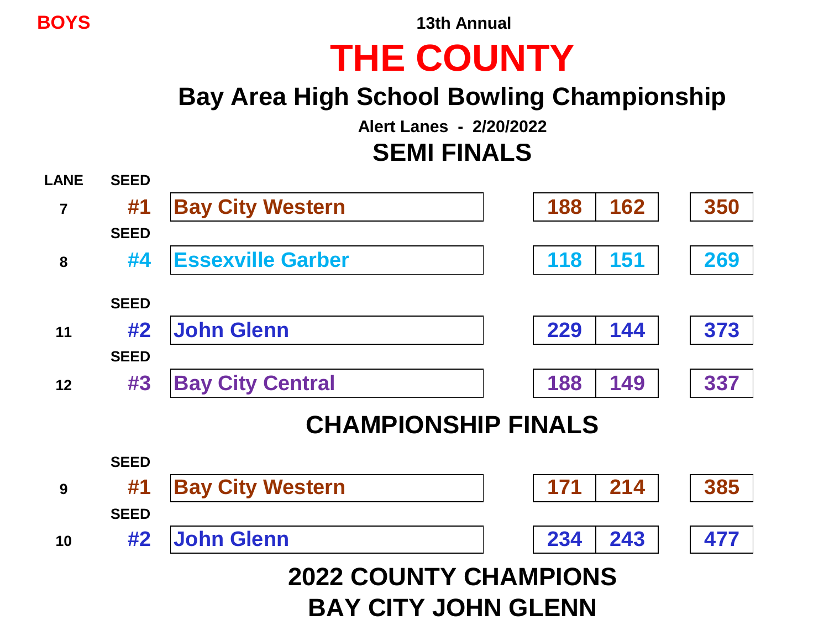**BOYS 13th Annual**

## **THE COUNTY**

## **Bay Area High School Bowling Championship**

**Alert Lanes - 2/20/2022**

### **SEMI FINALS**

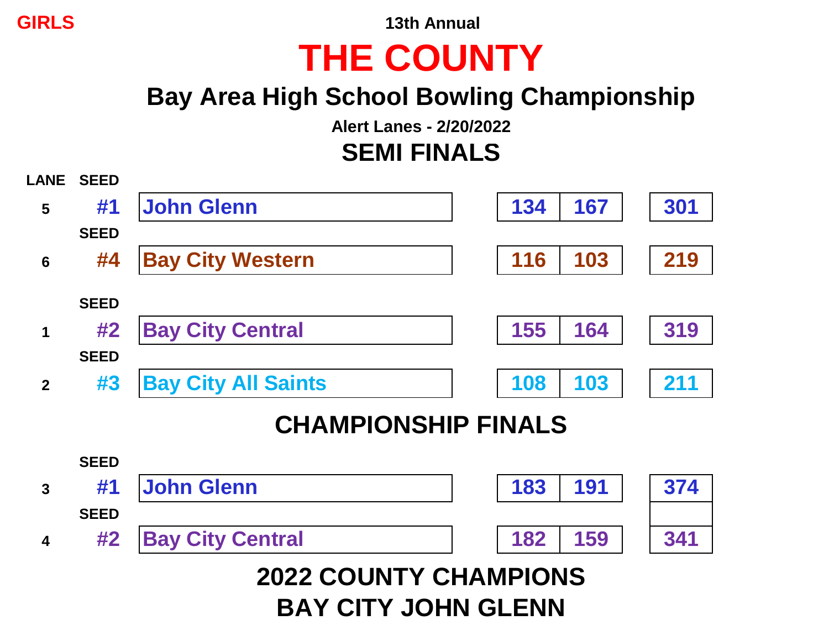**GIRLS 13th Annual**

# **THE COUNTY**

## **Bay Area High School Bowling Championship**

**Alert Lanes - 2/20/2022**

### **SEMI FINALS**